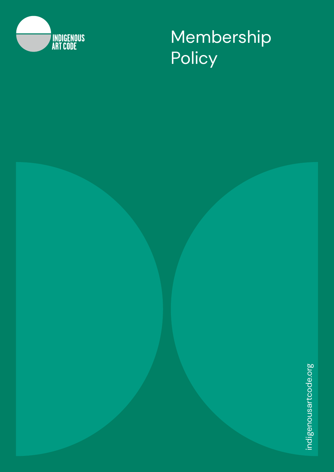

Membership **Policy**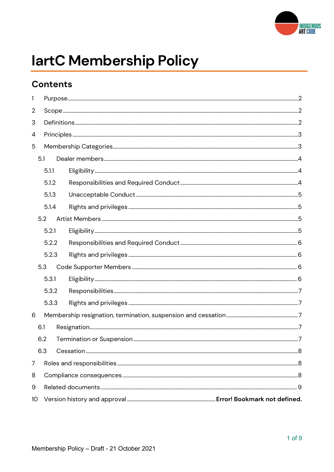

# lartC Membership Policy

### **Contents**

| 1   |       |  |  |  |  |
|-----|-------|--|--|--|--|
| 2   |       |  |  |  |  |
| 3   |       |  |  |  |  |
| 4   |       |  |  |  |  |
| 5   |       |  |  |  |  |
| 5.1 |       |  |  |  |  |
|     | 5.1.1 |  |  |  |  |
|     | 5.1.2 |  |  |  |  |
|     | 5.1.3 |  |  |  |  |
|     | 5.1.4 |  |  |  |  |
|     | 5.2   |  |  |  |  |
|     | 5.2.1 |  |  |  |  |
|     | 5.2.2 |  |  |  |  |
|     | 5.2.3 |  |  |  |  |
|     | 5.3   |  |  |  |  |
|     | 5.3.1 |  |  |  |  |
|     | 5.3.2 |  |  |  |  |
|     | 5.3.3 |  |  |  |  |
| 6   |       |  |  |  |  |
|     | 6.1   |  |  |  |  |
|     | 6.2   |  |  |  |  |
|     | 6.3   |  |  |  |  |
| 7   |       |  |  |  |  |
| 8   |       |  |  |  |  |
| 9   |       |  |  |  |  |
| 10  |       |  |  |  |  |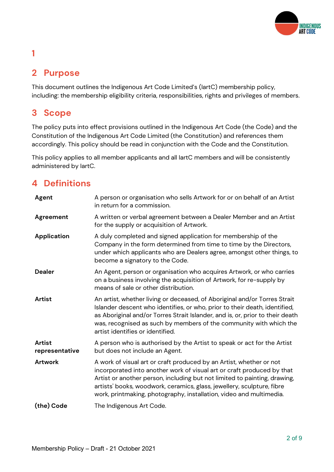## **INDIGENOUS ART CODE**

# 1

### 2 Purpose

This document outlines the Indigenous Art Code Limited's (IartC) membership policy, including: the membership eligibility criteria, responsibilities, rights and privileges of members.

### 3 Scope

The policy puts into effect provisions outlined in the Indigenous Art Code (the Code) and the Constitution of the Indigenous Art Code Limited (the Constitution) and references them accordingly. This policy should be read in conjunction with the Code and the Constitution.

This policy applies to all member applicants and all IartC members and will be consistently administered by IartC.

### 4 Definitions

| Agent                           | A person or organisation who sells Artwork for or on behalf of an Artist<br>in return for a commission.                                                                                                                                                                                                                                                                     |
|---------------------------------|-----------------------------------------------------------------------------------------------------------------------------------------------------------------------------------------------------------------------------------------------------------------------------------------------------------------------------------------------------------------------------|
| Agreement                       | A written or verbal agreement between a Dealer Member and an Artist<br>for the supply or acquisition of Artwork.                                                                                                                                                                                                                                                            |
| <b>Application</b>              | A duly completed and signed application for membership of the<br>Company in the form determined from time to time by the Directors,<br>under which applicants who are Dealers agree, amongst other things, to<br>become a signatory to the Code.                                                                                                                            |
| <b>Dealer</b>                   | An Agent, person or organisation who acquires Artwork, or who carries<br>on a business involving the acquisition of Artwork, for re-supply by<br>means of sale or other distribution.                                                                                                                                                                                       |
| <b>Artist</b>                   | An artist, whether living or deceased, of Aboriginal and/or Torres Strait<br>Islander descent who identifies, or who, prior to their death, identified,<br>as Aboriginal and/or Torres Strait Islander, and is, or, prior to their death<br>was, recognised as such by members of the community with which the<br>artist identifies or identified.                          |
| <b>Artist</b><br>representative | A person who is authorised by the Artist to speak or act for the Artist<br>but does not include an Agent.                                                                                                                                                                                                                                                                   |
| <b>Artwork</b>                  | A work of visual art or craft produced by an Artist, whether or not<br>incorporated into another work of visual art or craft produced by that<br>Artist or another person, including but not limited to painting, drawing,<br>artists' books, woodwork, ceramics, glass, jewellery, sculpture, fibre<br>work, printmaking, photography, installation, video and multimedia. |
| (the) Code                      | The Indigenous Art Code.                                                                                                                                                                                                                                                                                                                                                    |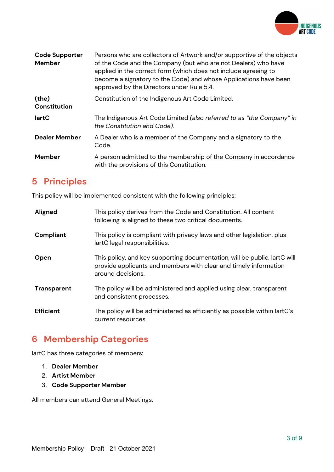

| <b>Code Supporter</b><br><b>Member</b> | Persons who are collectors of Artwork and/or supportive of the objects<br>of the Code and the Company (but who are not Dealers) who have<br>applied in the correct form (which does not include agreeing to<br>become a signatory to the Code) and whose Applications have been<br>approved by the Directors under Rule 5.4. |
|----------------------------------------|------------------------------------------------------------------------------------------------------------------------------------------------------------------------------------------------------------------------------------------------------------------------------------------------------------------------------|
| (the)<br><b>Constitution</b>           | Constitution of the Indigenous Art Code Limited.                                                                                                                                                                                                                                                                             |
| lartC                                  | The Indigenous Art Code Limited (also referred to as "the Company" in<br>the Constitution and Code).                                                                                                                                                                                                                         |
| <b>Dealer Member</b>                   | A Dealer who is a member of the Company and a signatory to the<br>Code.                                                                                                                                                                                                                                                      |
| <b>Member</b>                          | A person admitted to the membership of the Company in accordance<br>with the provisions of this Constitution.                                                                                                                                                                                                                |

### 5 Principles

This policy will be implemented consistent with the following principles:

| Aligned            | This policy derives from the Code and Constitution. All content<br>following is aligned to these two critical documents.                                           |
|--------------------|--------------------------------------------------------------------------------------------------------------------------------------------------------------------|
| Compliant          | This policy is compliant with privacy laws and other legislation, plus<br>lartC legal responsibilities.                                                            |
| Open               | This policy, and key supporting documentation, will be public. lartC will<br>provide applicants and members with clear and timely information<br>around decisions. |
| <b>Transparent</b> | The policy will be administered and applied using clear, transparent<br>and consistent processes.                                                                  |
| <b>Efficient</b>   | The policy will be administered as efficiently as possible within lartC's<br>current resources.                                                                    |

### 6 Membership Categories

IartC has three categories of members:

- 1. Dealer Member
- 2. Artist Member
- 3. Code Supporter Member

All members can attend General Meetings.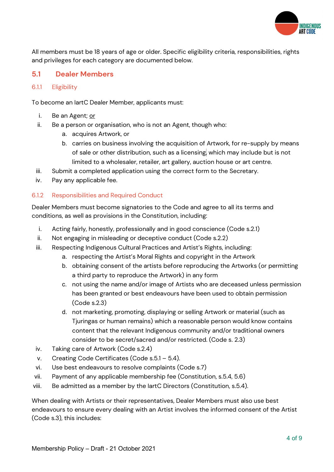

All members must be 18 years of age or older. Specific eligibility criteria, responsibilities, rights and privileges for each category are documented below.

#### 5.1 Dealer Members

#### 6.1.1 Eligibility

To become an IartC Dealer Member, applicants must:

- i. Be an Agent; or
- ii. Be a person or organisation, who is not an Agent, though who:
	- a. acquires Artwork, or
	- b. carries on business involving the acquisition of Artwork, for re-supply by means of sale or other distribution, such as a licensing, which may include but is not limited to a wholesaler, retailer, art gallery, auction house or art centre.
- iii. Submit a completed application using the correct form to the Secretary.
- iv. Pay any applicable fee.

#### 6.1.2 Responsibilities and Required Conduct

Dealer Members must become signatories to the Code and agree to all its terms and conditions, as well as provisions in the Constitution, including:

- i. Acting fairly, honestly, professionally and in good conscience (Code s.2.1)
- ii. Not engaging in misleading or deceptive conduct (Code s.2.2)
- iii. Respecting Indigenous Cultural Practices and Artist's Rights, including:
	- a. respecting the Artist's Moral Rights and copyright in the Artwork
	- b. obtaining consent of the artists before reproducing the Artworks (or permitting a third party to reproduce the Artwork) in any form
	- c. not using the name and/or image of Artists who are deceased unless permission has been granted or best endeavours have been used to obtain permission (Code s.2.3)
	- d. not marketing, promoting, displaying or selling Artwork or material (such as Tjuringas or human remains) which a reasonable person would know contains content that the relevant Indigenous community and/or traditional owners consider to be secret/sacred and/or restricted. (Code s. 2.3)
- iv. Taking care of Artwork (Code s.2.4)
- v. Creating Code Certificates (Code s.5.1 5.4).
- vi. Use best endeavours to resolve complaints (Code s.7)
- vii. Payment of any applicable membership fee (Constitution, s.5.4, 5.6)
- viii. Be admitted as a member by the IartC Directors (Constitution, s.5.4).

When dealing with Artists or their representatives, Dealer Members must also use best endeavours to ensure every dealing with an Artist involves the informed consent of the Artist (Code s.3), this includes: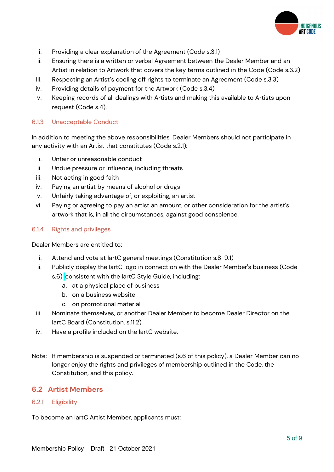

- i. Providing a clear explanation of the Agreement (Code s.3.1)
- ii. Ensuring there is a written or verbal Agreement between the Dealer Member and an Artist in relation to Artwork that covers the key terms outlined in the Code (Code s.3.2)
- iii. Respecting an Artist's cooling off rights to terminate an Agreement (Code s.3.3)
- iv. Providing details of payment for the Artwork (Code s.3.4)
- v. Keeping records of all dealings with Artists and making this available to Artists upon request (Code s.4).

#### 6.1.3 Unacceptable Conduct

In addition to meeting the above responsibilities, Dealer Members should not participate in any activity with an Artist that constitutes (Code s.2.1):

- i. Unfair or unreasonable conduct
- ii. Undue pressure or influence, including threats
- iii. Not acting in good faith
- iv. Paying an artist by means of alcohol or drugs
- v. Unfairly taking advantage of, or exploiting, an artist
- vi. Paying or agreeing to pay an artist an amount, or other consideration for the artist's artwork that is, in all the circumstances, against good conscience.

#### 6.1.4 Rights and privileges

Dealer Members are entitled to:

- i. Attend and vote at IartC general meetings (Constitution s.8-9.1)
- ii. Publicly display the IartC logo in connection with the Dealer Member's business (Code s.6), consistent with the IartC Style Guide, including:
	- a. at a physical place of business
	- b. on a business website
	- c. on promotional material
- iii. Nominate themselves, or another Dealer Member to become Dealer Director on the IartC Board (Constitution, s.11.2)
- iv. Have a profile included on the IartC website.
- Note: If membership is suspended or terminated (s.6 of this policy), a Dealer Member can no longer enjoy the rights and privileges of membership outlined in the Code, the Constitution, and this policy.

#### 6.2 Artist Members

#### 6.2.1 Eligibility

To become an IartC Artist Member, applicants must: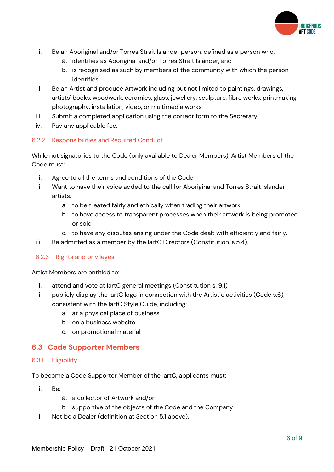

- i. Be an Aboriginal and/or Torres Strait Islander person, defined as a person who:
	- a. identifies as Aboriginal and/or Torres Strait Islander, and
	- b. is recognised as such by members of the community with which the person identifies.
- ii. Be an Artist and produce Artwork including but not limited to paintings, drawings, artists' books, woodwork, ceramics, glass, jewellery, sculpture, fibre works, printmaking, photography, installation, video, or multimedia works
- iii. Submit a completed application using the correct form to the Secretary
- iv. Pay any applicable fee.

#### 6.2.2 Responsibilities and Required Conduct

While not signatories to the Code (only available to Dealer Members), Artist Members of the Code must:

- i. Agree to all the terms and conditions of the Code
- ii. Want to have their voice added to the call for Aboriginal and Torres Strait Islander artists:
	- a. to be treated fairly and ethically when trading their artwork
	- b. to have access to transparent processes when their artwork is being promoted or sold
	- c. to have any disputes arising under the Code dealt with efficiently and fairly.
- iii. Be admitted as a member by the IartC Directors (Constitution, s.5.4).

#### 6.2.3 Rights and privileges

Artist Members are entitled to:

- i. attend and vote at IartC general meetings (Constitution s. 9.1)
- ii. publicly display the IartC logo in connection with the Artistic activities (Code s.6), consistent with the IartC Style Guide, including:
	- a. at a physical place of business
	- b. on a business website
	- c. on promotional material.

#### 6.3 Code Supporter Members

#### 6.3.1 Eligibility

To become a Code Supporter Member of the IartC, applicants must:

- i. Be:
	- a. a collector of Artwork and/or
	- b. supportive of the objects of the Code and the Company
- ii. Not be a Dealer (definition at Section 5.1 above).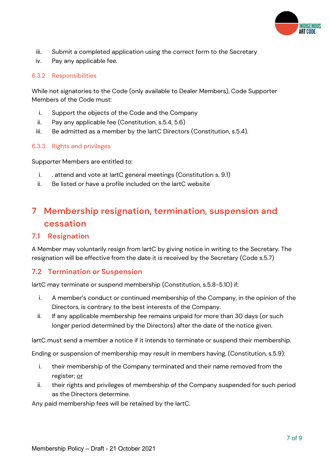

- iii. Submit a completed application using the correct form to the Secretary
- iv. Pay any applicable fee.

#### 6.3.2 Responsibilities

While not signatories to the Code (only available to Dealer Members), Code Supporter Members of the Code must:

- i. Support the objects of the Code and the Company
- ii. Pay any applicable fee (Constitution, s.5.4, 5.6)
- iii. Be admitted as a member by the IartC Directors (Constitution, s.5.4).

#### 6.3.3 Rights and privileges

Supporter Members are entitled to:

- i. . attend and vote at IartC general meetings (Constitution s. 9.1)
- ii. Be listed or have a profile included on the IartC website

### 7 Membership resignation, termination, suspension and cessation

#### 7.1 Resignation

A Member may voluntarily resign from IartC by giving notice in writing to the Secretary. The resignation will be effective from the date it is received by the Secretary (Code s.5.7)

#### 7.2 Termination or Suspension

IartC may terminate or suspend membership (Constitution, s.5.8-5.10) if:

- i. A member's conduct or continued membership of the Company, in the opinion of the Directors, is contrary to the best interests of the Company.
- ii. If any applicable membership fee remains unpaid for more than 30 days (or such longer period determined by the Directors) after the date of the notice given.

IartC must send a member a notice if it intends to terminate or suspend their membership.

Ending or suspension of membership may result in members having, (Constitution, s.5.9):

- i. their membership of the Company terminated and their name removed from the register; or
- ii. their rights and privileges of membership of the Company suspended for such period as the Directors determine.

Any paid membership fees will be retained by the IartC.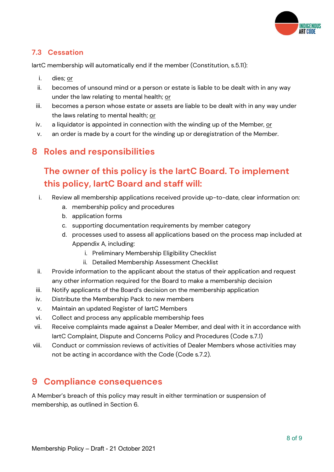

#### 7.3 Cessation

IartC membership will automatically end if the member (Constitution, s.5.11):

- i. dies; or
- ii. becomes of unsound mind or a person or estate is liable to be dealt with in any way under the law relating to mental health; or
- iii. becomes a person whose estate or assets are liable to be dealt with in any way under the laws relating to mental health; or
- iv. a liquidator is appointed in connection with the winding up of the Member, or
- v. an order is made by a court for the winding up or deregistration of the Member.

### 8 Roles and responsibilities

### The owner of this policy is the IartC Board. To implement this policy, IartC Board and staff will:

- i. Review all membership applications received provide up-to-date, clear information on:
	- a. membership policy and procedures
	- b. application forms
	- c. supporting documentation requirements by member category
	- d. processes used to assess all applications based on the process map included at Appendix A, including:
		- i. Preliminary Membership Eligibility Checklist
		- ii. Detailed Membership Assessment Checklist
- ii. Provide information to the applicant about the status of their application and request any other information required for the Board to make a membership decision
- iii. Notify applicants of the Board's decision on the membership application
- iv. Distribute the Membership Pack to new members
- v. Maintain an updated Register of IartC Members
- vi. Collect and process any applicable membership fees
- vii. Receive complaints made against a Dealer Member, and deal with it in accordance with IartC Complaint, Dispute and Concerns Policy and Procedures (Code s.7.1)
- viii. Conduct or commission reviews of activities of Dealer Members whose activities may not be acting in accordance with the Code (Code s.7.2).

### 9 Compliance consequences

A Member's breach of this policy may result in either termination or suspension of membership, as outlined in Section 6.